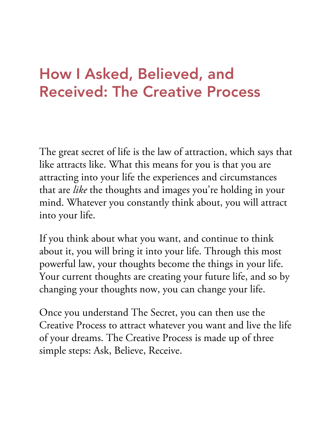# How I Asked, Believed, and Received: The Creative Process

The great secret of life is the law of attraction, which says that like attracts like. What this means for you is that you are attracting into your life the experiences and circumstances that are like the thoughts and images you're holding in your mind. Whatever you constantly think about, you will attract into your life.

If you think about what you want, and continue to think about it, you will bring it into your life. Through this most powerful law, your thoughts become the things in your life. Your current thoughts are creating your future life, and so by changing your thoughts now, you can change your life.

Once you understand The Secret, you can then use the Creative Process to attract whatever you want and live the life of your dreams. The Creative Process is made up of three simple steps: Ask, Believe, Receive.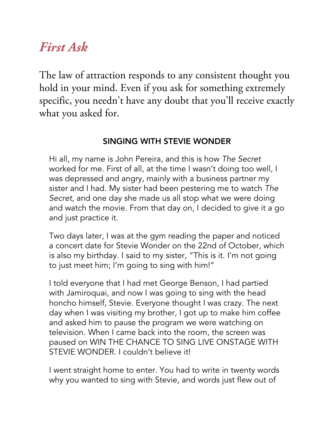# *First Ask*

The law of attraction responds to any consistent thought you hold in your mind. Even if you ask for something extremely specific, you needn 't have any doubt that you 'll receive exactly what you asked for.

#### SINGING WITH STEVIE WONDER

Hi all, my name is John Pereira, and this is how The Secret worked for me. First of all, at the time I wasn't doing too well, I was depressed and angry, mainly with a business partner my sister and I had. My sister had been pestering me to watch The Secret, and one day she made us all stop what we were doing and watch the movie. From that day on, I decided to give it a go and just practice it.

Two days later, I was at the gym reading the paper and noticed a concert date for Stevie Wonder on the 22nd of October, which is also my birthday. I said to my sister, "This is it. I'm not going to just meet him; I'm going to sing with him!"

I told everyone that I had met George Benson, I had partied with Jamiroquai, and now I was going to sing with the head honcho himself, Stevie. Everyone thought I was crazy. The next day when I was visiting my brother, I got up to make him coffee and asked him to pause the program we were watching on television. When I came back into the room, the screen was paused on WIN THE CHANCE TO SING LIVE ONSTAGE WITH STEVIE WONDER. I couldn't believe it!

I went straight home to enter. You had to write in twenty words why you wanted to sing with Stevie, and words just flew out of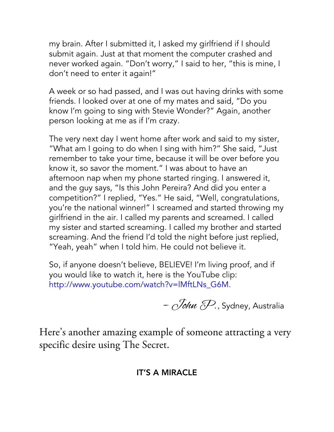my brain. After I submitted it, I asked my girlfriend if I should submit again. Just at that moment the computer crashed and never worked again. "Don't worry," I said to her, "this is mine, I don't need to enter it again!"

A week or so had passed, and I was out having drinks with some friends. I looked over at one of my mates and said, "Do you know I'm going to sing with Stevie Wonder?" Again, another person looking at me as if I'm crazy.

The very next day I went home after work and said to my sister, "What am I going to do when I sing with him?" She said, "Just remember to take your time, because it will be over before you know it, so savor the moment." I was about to have an afternoon nap when my phone started ringing. I answered it, and the guy says, "Is this John Pereira? And did you enter a competition?" I replied, "Yes." He said, "Well, congratulations, you're the national winner!" I screamed and started throwing my girlfriend in the air. I called my parents and screamed. I called my sister and started screaming. I called my brother and started screaming. And the friend I'd told the night before just replied, "Yeah, yeah" when I told him. He could not believe it.

So, if anyone doesn't believe, BELIEVE! I'm living proof, and if you would like to watch it, here is the YouTube clip: [http://www.youtube.com/watch?v=lMftLNs\\_G6M](http://www.youtube.com/watch?v=lMftLNs_G6M).

 $–$   $\sqrt{\omega}$ *bhu*  $\mathcal{P}$ ., Sydney, Australia

Here ' s another amazing example of someone attracting a very specific desire using The Secret.

## IT'S A MIRACLE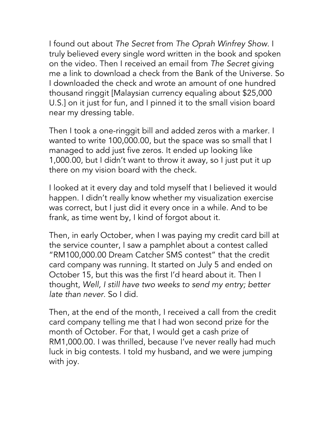I found out about The Secret from The Oprah Winfrey Show. I truly believed every single word written in the book and spoken on the video. Then I received an email from The Secret giving me a link to download a check from the Bank of the Universe. So I downloaded the check and wrote an amount of one hundred thousand ringgit [Malaysian currency equaling about \$25,000 U.S.] on it just for fun, and I pinned it to the small vision board near my dressing table.

Then I took a one-ringgit bill and added zeros with a marker. I wanted to write 100,000.00, but the space was so small that I managed to add just five zeros. It ended up looking like 1,000.00, but I didn't want to throw it away, so I just put it up there on my vision board with the check.

I looked at it every day and told myself that I believed it would happen. I didn't really know whether my visualization exercise was correct, but I just did it every once in a while. And to be frank, as time went by, I kind of forgot about it.

Then, in early October, when I was paying my credit card bill at the service counter, I saw a pamphlet about a contest called "RM100,000.00 Dream Catcher SMS contest" that the credit card company was running. It started on July 5 and ended on October 15, but this was the first I'd heard about it. Then I thought, Well, I still have two weeks to send my entry; better late than never. So I did.

Then, at the end of the month, I received a call from the credit card company telling me that I had won second prize for the month of October. For that, I would get a cash prize of RM1,000.00. I was thrilled, because I've never really had much luck in big contests. I told my husband, and we were jumping with joy.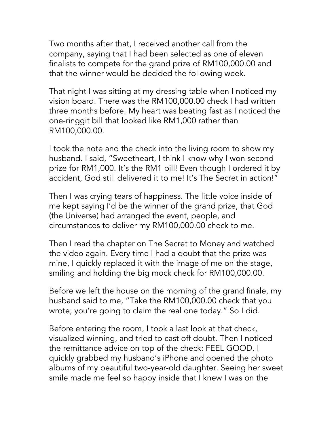Two months after that, I received another call from the company, saying that I had been selected as one of eleven finalists to compete for the grand prize of RM100,000.00 and that the winner would be decided the following week.

That night I was sitting at my dressing table when I noticed my vision board. There was the RM100,000.00 check I had written three months before. My heart was beating fast as I noticed the one-ringgit bill that looked like RM1,000 rather than RM100,000.00.

I took the note and the check into the living room to show my husband. I said, "Sweetheart, I think I know why I won second prize for RM1,000. It's the RM1 bill! Even though I ordered it by accident, God still delivered it to me! It's The Secret in action!"

Then I was crying tears of happiness. The little voice inside of me kept saying I'd be the winner of the grand prize, that God (the Universe) had arranged the event, people, and circumstances to deliver my RM100,000.00 check to me.

Then I read the chapter on The Secret to Money and watched the video again. Every time I had a doubt that the prize was mine, I quickly replaced it with the image of me on the stage, smiling and holding the big mock check for RM100,000.00.

Before we left the house on the morning of the grand finale, my husband said to me, "Take the RM100,000.00 check that you wrote; you're going to claim the real one today." So I did.

Before entering the room, I took a last look at that check, visualized winning, and tried to cast off doubt. Then I noticed the remittance advice on top of the check: FEEL GOOD. I quickly grabbed my husband's iPhone and opened the photo albums of my beautiful two-year-old daughter. Seeing her sweet smile made me feel so happy inside that I knew I was on the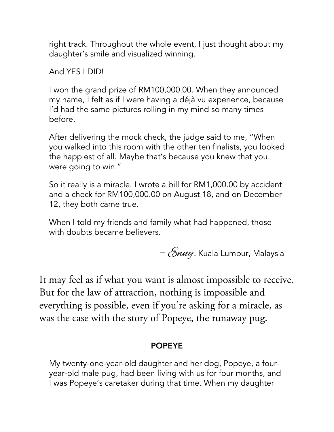right track. Throughout the whole event, I just thought about my daughter's smile and visualized winning.

And YES I DID!

I won the grand prize of RM100,000.00. When they announced my name, I felt as if I were having a déjà vu experience, because I'd had the same pictures rolling in my mind so many times before.

After delivering the mock check, the judge said to me, "When you walked into this room with the other ten finalists, you looked the happiest of all. Maybe that's because you knew that you were going to win."

So it really is a miracle. I wrote a bill for RM1,000.00 by accident and a check for RM100,000.00 on August 18, and on December 12, they both came true.

When I told my friends and family what had happened, those with doubts became believers.

– *Suuy*, Kuala Lumpur, Malaysia

It may feel as if what you want is almost impossible to receive. But for the law of attraction, nothing is impossible and everything is possible, even if you ' re asking for a miracle, as was the case with the story of Popeye, the runaway pug.

## POPEYE

My twenty-one-year-old daughter and her dog, Popeye, a fouryear-old male pug, had been living with us for four months, and I was Popeye's caretaker during that time. When my daughter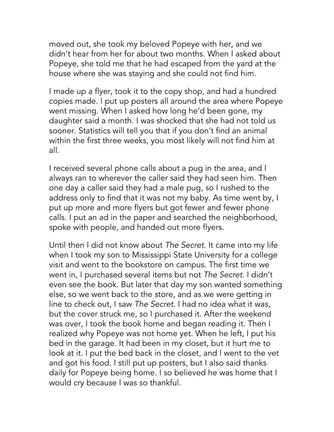moved out, she took my beloved Popeye with her, and we didn't hear from her for about two months. When I asked about Popeye, she told me that he had escaped from the yard at the house where she was staying and she could not find him.

I made up a flyer, took it to the copy shop, and had a hundred copies made. I put up posters all around the area where Popeye went missing. When I asked how long he'd been gone, my daughter said a month. I was shocked that she had not told us sooner. Statistics will tell you that if you don't find an animal within the first three weeks, you most likely will not find him at all.

I received several phone calls about a pug in the area, and I always ran to wherever the caller said they had seen him. Then one day a caller said they had a male pug, so I rushed to the address only to find that it was not my baby. As time went by, I put up more and more flyers but got fewer and fewer phone calls. I put an ad in the paper and searched the neighborhood, spoke with people, and handed out more flyers.

Until then I did not know about The Secret. It came into my life when I took my son to Mississippi State University for a college visit and went to the bookstore on campus. The first time we went in, I purchased several items but not The Secret. I didn't even see the book. But later that day my son wanted something else, so we went back to the store, and as we were getting in line to check out, I saw The Secret. I had no idea what it was, but the cover struck me, so I purchased it. After the weekend was over, I took the book home and began reading it. Then I realized why Popeye was not home yet. When he left, I put his bed in the garage. It had been in my closet, but it hurt me to look at it. I put the bed back in the closet, and I went to the vet and got his food. I still put up posters, but I also said thanks daily for Popeye being home. I so believed he was home that I would cry because I was so thankful.